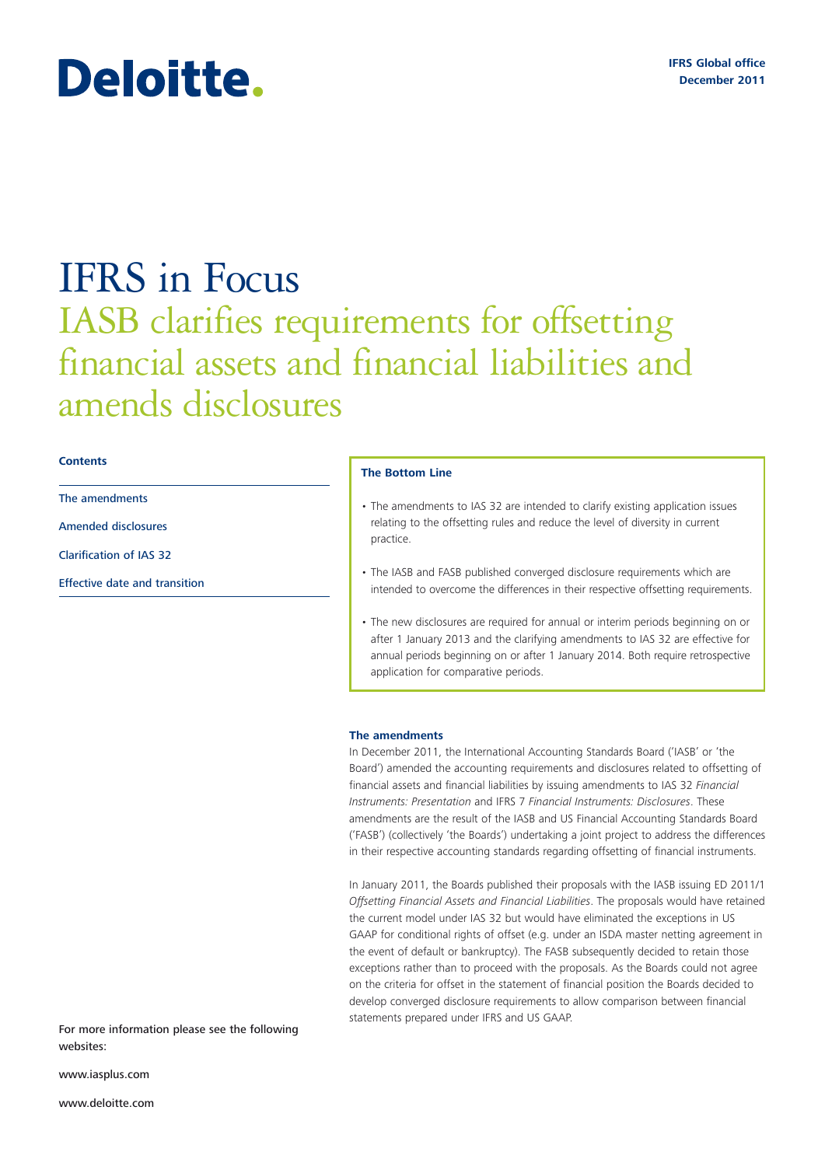# Deloitte.

## IFRS in Focus IASB clarifies requirements for offsetting financial assets and financial liabilities and amends disclosures

#### **Contents**

The amendments

Amended disclosures

Clarification of IAS 32

Effective date and transition

#### **The Bottom Line**

- The amendments to IAS 32 are intended to clarify existing application issues relating to the offsetting rules and reduce the level of diversity in current practice.
- The IASB and FASB published converged disclosure requirements which are intended to overcome the differences in their respective offsetting requirements.
- The new disclosures are required for annual or interim periods beginning on or after 1 January 2013 and the clarifying amendments to IAS 32 are effective for annual periods beginning on or after 1 January 2014. Both require retrospective application for comparative periods.

#### **The amendments**

In December 2011, the International Accounting Standards Board ('IASB' or 'the Board') amended the accounting requirements and disclosures related to offsetting of financial assets and financial liabilities by issuing amendments to IAS 32 *Financial Instruments: Presentation* and IFRS 7 *Financial Instruments: Disclosures*. These amendments are the result of the IASB and US Financial Accounting Standards Board ('FASB') (collectively 'the Boards') undertaking a joint project to address the differences in their respective accounting standards regarding offsetting of financial instruments.

In January 2011, the Boards published their proposals with the IASB issuing ED 2011/1 *Offsetting Financial Assets and Financial Liabilities*. The proposals would have retained the current model under IAS 32 but would have eliminated the exceptions in US GAAP for conditional rights of offset (e.g. under an ISDA master netting agreement in the event of default or bankruptcy). The FASB subsequently decided to retain those exceptions rather than to proceed with the proposals. As the Boards could not agree on the criteria for offset in the statement of financial position the Boards decided to develop converged disclosure requirements to allow comparison between financial statements prepared under IFRS and US GAAP.

For more information please see the following websites:

www.iasplus.com

www.deloitte.com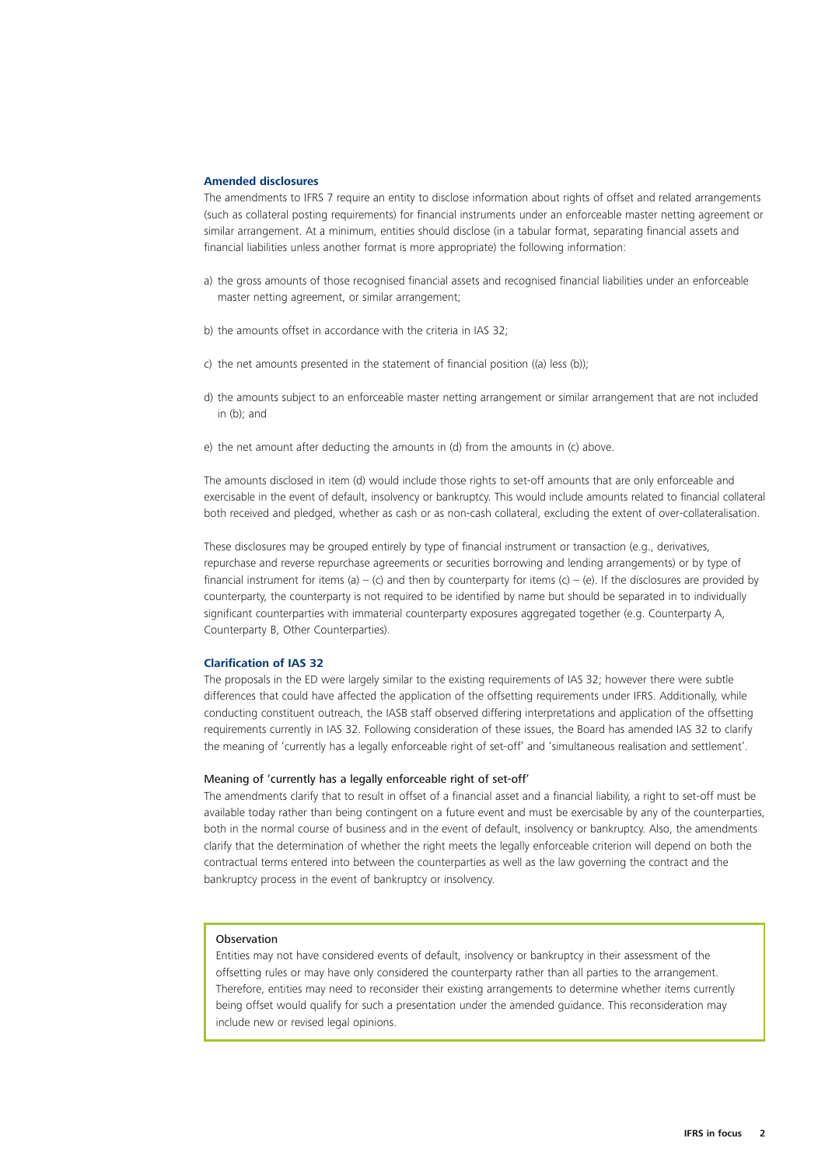#### **Amended disclosures**

The amendments to IFRS 7 require an entity to disclose information about rights of offset and related arrangements (such as collateral posting requirements) for financial instruments under an enforceable master netting agreement or similar arrangement. At a minimum, entities should disclose (in a tabular format, separating financial assets and financial liabilities unless another format is more appropriate) the following information:

- a) the gross amounts of those recognised financial assets and recognised financial liabilities under an enforceable master netting agreement, or similar arrangement;
- b) the amounts offset in accordance with the criteria in IAS 32;
- c) the net amounts presented in the statement of financial position ((a) less (b));
- d) the amounts subject to an enforceable master netting arrangement or similar arrangement that are not included in (b); and
- e) the net amount after deducting the amounts in (d) from the amounts in (c) above.

The amounts disclosed in item (d) would include those rights to set-off amounts that are only enforceable and exercisable in the event of default, insolvency or bankruptcy. This would include amounts related to financial collateral both received and pledged, whether as cash or as non-cash collateral, excluding the extent of over-collateralisation.

These disclosures may be grouped entirely by type of financial instrument or transaction (e.g., derivatives, repurchase and reverse repurchase agreements or securities borrowing and lending arrangements) or by type of financial instrument for items (a) – (c) and then by counterparty for items (c) – (e). If the disclosures are provided by counterparty, the counterparty is not required to be identified by name but should be separated in to individually significant counterparties with immaterial counterparty exposures aggregated together (e.g. Counterparty A, Counterparty B, Other Counterparties).

#### **Clarification of IAS 32**

The proposals in the ED were largely similar to the existing requirements of IAS 32; however there were subtle differences that could have affected the application of the offsetting requirements under IFRS. Additionally, while conducting constituent outreach, the IASB staff observed differing interpretations and application of the offsetting requirements currently in IAS 32. Following consideration of these issues, the Board has amended IAS 32 to clarify the meaning of 'currently has a legally enforceable right of set-off' and 'simultaneous realisation and settlement'.

#### Meaning of 'currently has a legally enforceable right of set-off'

The amendments clarify that to result in offset of a financial asset and a financial liability, a right to set-off must be available today rather than being contingent on a future event and must be exercisable by any of the counterparties, both in the normal course of business and in the event of default, insolvency or bankruptcy. Also, the amendments clarify that the determination of whether the right meets the legally enforceable criterion will depend on both the contractual terms entered into between the counterparties as well as the law governing the contract and the bankruptcy process in the event of bankruptcy or insolvency.

### Observation

Entities may not have considered events of default, insolvency or bankruptcy in their assessment of the offsetting rules or may have only considered the counterparty rather than all parties to the arrangement. Therefore, entities may need to reconsider their existing arrangements to determine whether items currently being offset would qualify for such a presentation under the amended guidance. This reconsideration may include new or revised legal opinions.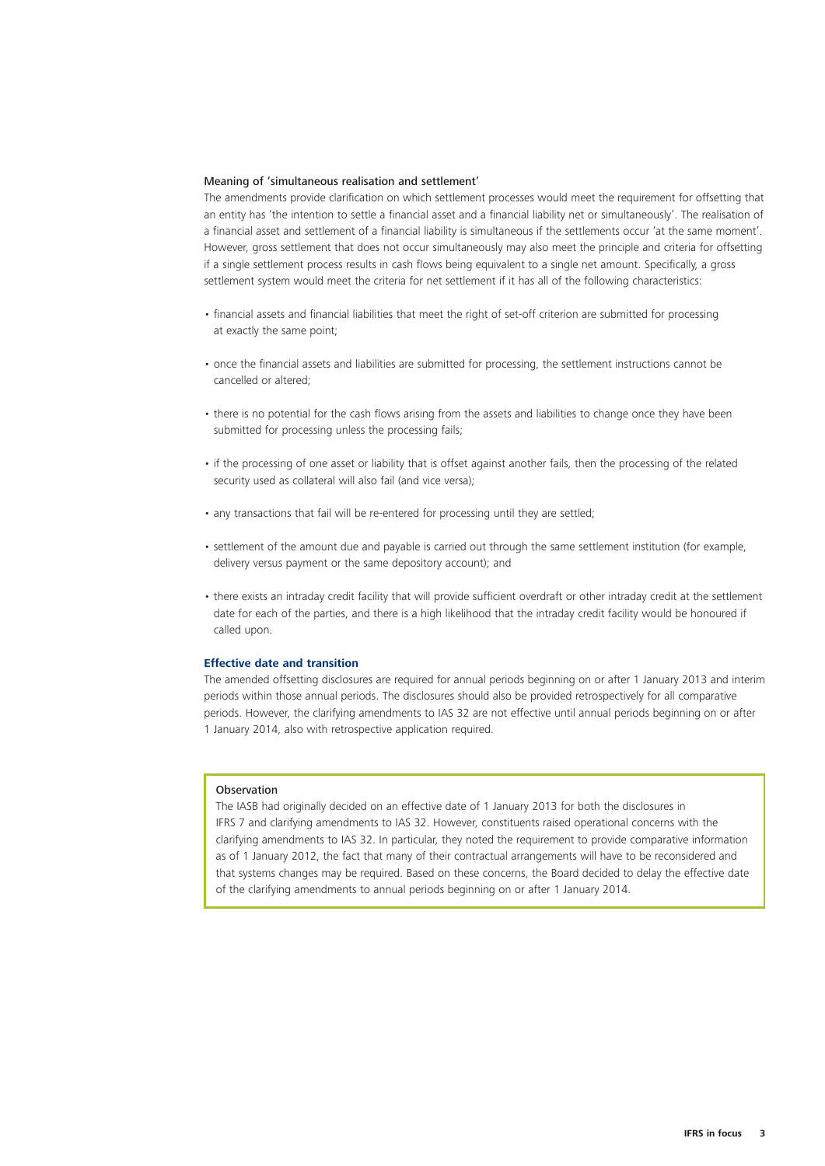#### Meaning of 'simultaneous realisation and settlement'

The amendments provide clarification on which settlement processes would meet the requirement for offsetting that an entity has 'the intention to settle a financial asset and a financial liability net or simultaneously'. The realisation of a financial asset and settlement of a financial liability is simultaneous if the settlements occur 'at the same moment'. However, gross settlement that does not occur simultaneously may also meet the principle and criteria for offsetting if a single settlement process results in cash flows being equivalent to a single net amount. Specifically, a gross settlement system would meet the criteria for net settlement if it has all of the following characteristics:

- financial assets and financial liabilities that meet the right of set-off criterion are submitted for processing at exactly the same point;
- once the financial assets and liabilities are submitted for processing, the settlement instructions cannot be cancelled or altered;
- there is no potential for the cash flows arising from the assets and liabilities to change once they have been submitted for processing unless the processing fails;
- if the processing of one asset or liability that is offset against another fails, then the processing of the related security used as collateral will also fail (and vice versa);
- any transactions that fail will be re-entered for processing until they are settled:
- settlement of the amount due and payable is carried out through the same settlement institution (for example, delivery versus payment or the same depository account); and
- there exists an intraday credit facility that will provide sufficient overdraft or other intraday credit at the settlement date for each of the parties, and there is a high likelihood that the intraday credit facility would be honoured if called upon.

#### **Effective date and transition**

The amended offsetting disclosures are required for annual periods beginning on or after 1 January 2013 and interim periods within those annual periods. The disclosures should also be provided retrospectively for all comparative periods. However, the clarifying amendments to IAS 32 are not effective until annual periods beginning on or after 1 January 2014, also with retrospective application required.

#### Observation

The IASB had originally decided on an effective date of 1 January 2013 for both the disclosures in IFRS 7 and clarifying amendments to IAS 32. However, constituents raised operational concerns with the clarifying amendments to IAS 32. In particular, they noted the requirement to provide comparative information as of 1 January 2012, the fact that many of their contractual arrangements will have to be reconsidered and that systems changes may be required. Based on these concerns, the Board decided to delay the effective date of the clarifying amendments to annual periods beginning on or after 1 January 2014.